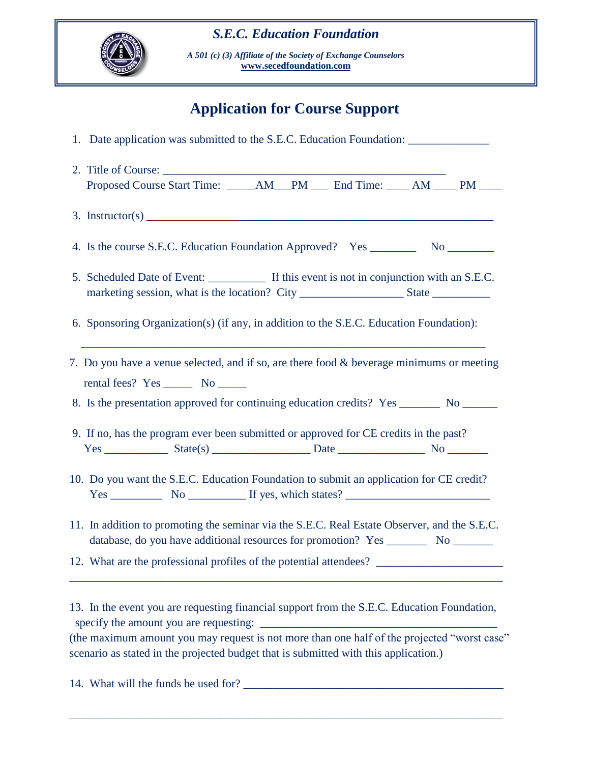## *S.E.C. Education Foundation*



*A 501 (c) (3) Affiliate of the Society of Exchange Counselors* **[www.secedfoundation.com](http://www.secedfoundation.com/)**

# **Application for Course Support**

| 1. Date application was submitted to the S.E.C. Education Foundation: ___________                                                                                                                                                                                                                                                                                                                                  |
|--------------------------------------------------------------------------------------------------------------------------------------------------------------------------------------------------------------------------------------------------------------------------------------------------------------------------------------------------------------------------------------------------------------------|
|                                                                                                                                                                                                                                                                                                                                                                                                                    |
| Proposed Course Start Time: _____AM___PM ____ End Time: ____ AM ____ PM ____                                                                                                                                                                                                                                                                                                                                       |
| 3. Instructor(s) $\frac{1}{\sqrt{1-\frac{1}{\sqrt{1-\frac{1}{\sqrt{1-\frac{1}{\sqrt{1-\frac{1}{\sqrt{1-\frac{1}{\sqrt{1-\frac{1}{\sqrt{1-\frac{1}{\sqrt{1-\frac{1}{\sqrt{1-\frac{1}{\sqrt{1-\frac{1}{\sqrt{1-\frac{1}{\sqrt{1-\frac{1}{\sqrt{1-\frac{1}{\sqrt{1-\frac{1}{\sqrt{1-\frac{1}{\sqrt{1-\frac{1}{\sqrt{1-\frac{1}{\sqrt{1-\frac{1}{\sqrt{1-\frac{1}{\sqrt{1-\frac{1}{\sqrt{1-\frac{1}{\sqrt{1-\frac{1}{$ |
|                                                                                                                                                                                                                                                                                                                                                                                                                    |
| 5. Scheduled Date of Event: If this event is not in conjunction with an S.E.C.                                                                                                                                                                                                                                                                                                                                     |
| 6. Sponsoring Organization(s) (if any, in addition to the S.E.C. Education Foundation):                                                                                                                                                                                                                                                                                                                            |
| 7. Do you have a venue selected, and if so, are there food & beverage minimums or meeting<br>8. Is the presentation approved for continuing education credits? Yes ________ No _______                                                                                                                                                                                                                             |
| 9. If no, has the program ever been submitted or approved for CE credits in the past?                                                                                                                                                                                                                                                                                                                              |
| 10. Do you want the S.E.C. Education Foundation to submit an application for CE credit?<br>$Yes \_\_\_\_\_\_$ No $\_\_\_\_\_\_\$ If yes, which states? $\_\_\_\_\_\_\_\_\_\_\_\_\_\_\_\_\_$                                                                                                                                                                                                                        |
| 11. In addition to promoting the seminar via the S.E.C. Real Estate Observer, and the S.E.C.                                                                                                                                                                                                                                                                                                                       |
| 12. What are the professional profiles of the potential attendees?                                                                                                                                                                                                                                                                                                                                                 |
| 13. In the event you are requesting financial support from the S.E.C. Education Foundation,                                                                                                                                                                                                                                                                                                                        |
| (the maximum amount you may request is not more than one half of the projected "worst case"<br>scenario as stated in the projected budget that is submitted with this application.)                                                                                                                                                                                                                                |

\_\_\_\_\_\_\_\_\_\_\_\_\_\_\_\_\_\_\_\_\_\_\_\_\_\_\_\_\_\_\_\_\_\_\_\_\_\_\_\_\_\_\_\_\_\_\_\_\_\_\_\_\_\_\_\_\_\_\_\_\_\_\_\_\_\_\_\_\_\_\_\_\_\_\_

14. What will the funds be used for? \_\_\_\_\_\_\_\_\_\_\_\_\_\_\_\_\_\_\_\_\_\_\_\_\_\_\_\_\_\_\_\_\_\_\_\_\_\_\_\_\_\_\_\_\_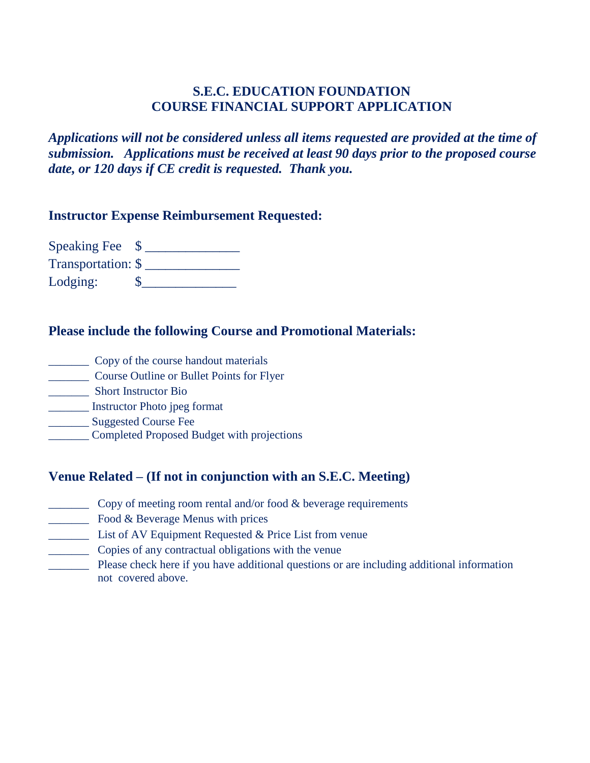#### **S.E.C. EDUCATION FOUNDATION COURSE FINANCIAL SUPPORT APPLICATION**

*Applications will not be considered unless all items requested are provided at the time of submission. Applications must be received at least 90 days prior to the proposed course date, or 120 days if CE credit is requested. Thank you.*

#### **Instructor Expense Reimbursement Requested:**

Speaking Fee  $\quad \text{\AA}$ Transportation: \$ \_\_\_\_\_\_\_\_\_\_\_\_\_\_ Lodging:  $\qquad \qquad \text{\$\_\_\_}$ 

#### **Please include the following Course and Promotional Materials:**

- \_\_\_\_\_\_\_ Copy of the course handout materials
- \_\_\_\_\_\_\_ Course Outline or Bullet Points for Flyer
- \_\_\_\_\_\_\_ Short Instructor Bio
- \_\_\_\_\_\_\_ Instructor Photo jpeg format
- \_\_\_\_\_\_\_ Suggested Course Fee
- \_\_\_\_\_\_\_ Completed Proposed Budget with projections

### **Venue Related – (If not in conjunction with an S.E.C. Meeting)**

- \_\_\_\_\_\_\_ Copy of meeting room rental and/or food & beverage requirements
- **EXECUTE:** Food & Beverage Menus with prices
- \_\_\_\_\_\_\_ List of AV Equipment Requested & Price List from venue
- \_\_\_\_\_\_\_ Copies of any contractual obligations with the venue
- \_\_\_\_\_\_\_ Please check here if you have additional questions or are including additional information not covered above.